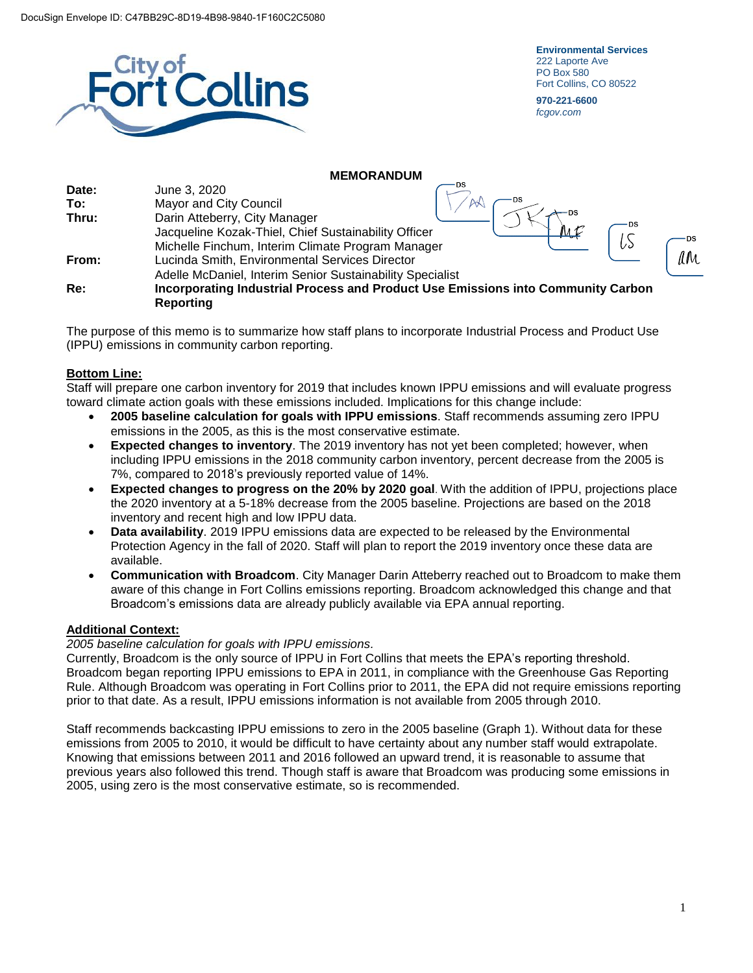

**Environmental Services** 222 Laporte Ave PO Box 580 Fort Collins, CO 80522

**970-221-6600** *fcgov.com*

### **MEMORANDUM Date:** June 3, 2020  $AA$ **To:** Mayor and City Council **Thru:** Darin Atteberry, City Manager Jacqueline Kozak-Thiel, Chief Sustainability Officer LS **DS** Michelle Finchum, Interim Climate Program Manager MM. **From:** Lucinda Smith, Environmental Services Director Adelle McDaniel, Interim Senior Sustainability Specialist **Re: Incorporating Industrial Process and Product Use Emissions into Community Carbon Reporting**

The purpose of this memo is to summarize how staff plans to incorporate Industrial Process and Product Use (IPPU) emissions in community carbon reporting.

# **Bottom Line:**

Staff will prepare one carbon inventory for 2019 that includes known IPPU emissions and will evaluate progress toward climate action goals with these emissions included. Implications for this change include:

- **2005 baseline calculation for goals with IPPU emissions**. Staff recommends assuming zero IPPU emissions in the 2005, as this is the most conservative estimate.
- **Expected changes to inventory**. The 2019 inventory has not yet been completed; however, when including IPPU emissions in the 2018 community carbon inventory, percent decrease from the 2005 is 7%, compared to 2018's previously reported value of 14%.
- **Expected changes to progress on the 20% by 2020 goal**. With the addition of IPPU, projections place the 2020 inventory at a 5-18% decrease from the 2005 baseline. Projections are based on the 2018 inventory and recent high and low IPPU data.
- **Data availability**. 2019 IPPU emissions data are expected to be released by the Environmental Protection Agency in the fall of 2020. Staff will plan to report the 2019 inventory once these data are available.
- **Communication with Broadcom**. City Manager Darin Atteberry reached out to Broadcom to make them aware of this change in Fort Collins emissions reporting. Broadcom acknowledged this change and that Broadcom's emissions data are already publicly available via EPA annual reporting.

# **Additional Context:**

*2005 baseline calculation for goals with IPPU emissions.*

Currently, Broadcom is the only source of IPPU in Fort Collins that meets the EPA's reporting threshold. Broadcom began reporting IPPU emissions to EPA in 2011, in compliance with the Greenhouse Gas Reporting Rule. Although Broadcom was operating in Fort Collins prior to 2011, the EPA did not require emissions reporting prior to that date. As a result, IPPU emissions information is not available from 2005 through 2010.

Staff recommends backcasting IPPU emissions to zero in the 2005 baseline (Graph 1). Without data for these emissions from 2005 to 2010, it would be difficult to have certainty about any number staff would extrapolate. Knowing that emissions between 2011 and 2016 followed an upward trend, it is reasonable to assume that previous years also followed this trend. Though staff is aware that Broadcom was producing some emissions in 2005, using zero is the most conservative estimate, so is recommended.